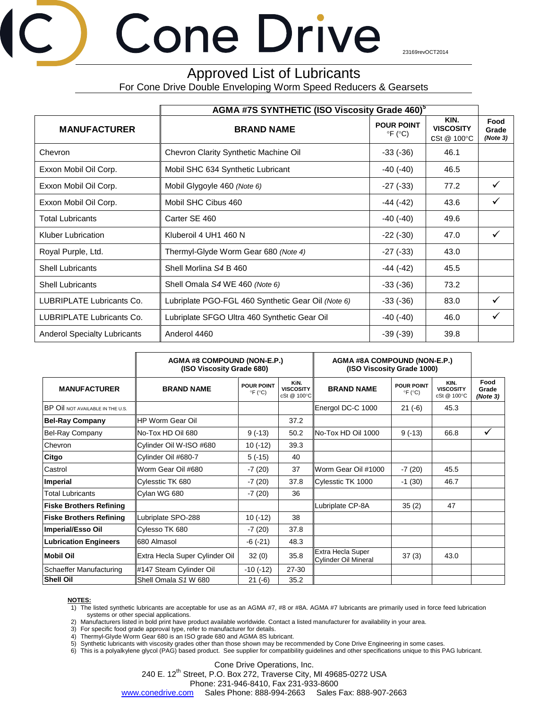23169revOCT2014

## Approved List of Lubricants

**Cone Drive** 

For Cone Drive Double Enveloping Worm Speed Reducers & Gearsets

|                                     | <b>AGMA #7S SYNTHETIC (ISO Viscosity Grade 460)<sup>3</sup></b> |                                                |                                         |                           |  |  |
|-------------------------------------|-----------------------------------------------------------------|------------------------------------------------|-----------------------------------------|---------------------------|--|--|
| <b>MANUFACTURER</b>                 | <b>BRAND NAME</b>                                               | <b>POUR POINT</b><br>$\mathrm{P}F(\mathrm{C})$ | KIN.<br><b>VISCOSITY</b><br>CSt @ 100°C | Food<br>Grade<br>(Note 3) |  |  |
| Chevron                             | Chevron Clarity Synthetic Machine Oil                           | $-33(-36)$                                     | 46.1                                    |                           |  |  |
| Exxon Mobil Oil Corp.               | Mobil SHC 634 Synthetic Lubricant                               | -40 (-40)                                      | 46.5                                    |                           |  |  |
| Exxon Mobil Oil Corp.               | Mobil Glygoyle 460 (Note 6)                                     | $-27$ ( $-33$ )                                | 77.2                                    | ✓                         |  |  |
| Exxon Mobil Oil Corp.               | Mobil SHC Cibus 460                                             | -44 (-42)                                      | 43.6                                    |                           |  |  |
| Total Lubricants                    | Carter SE 460                                                   | $-40(-40)$                                     | 49.6                                    |                           |  |  |
| Kluber Lubrication                  | Kluberoil 4 UH1 460 N                                           | $-22$ ( $-30$ )                                | 47.0                                    |                           |  |  |
| Royal Purple, Ltd.                  | Thermyl-Glyde Worm Gear 680 (Note 4)                            | $-27$ ( $-33$ )                                | 43.0                                    |                           |  |  |
| <b>Shell Lubricants</b>             | Shell Morlina S4 B 460                                          | $-44(-42)$                                     | 45.5                                    |                           |  |  |
| <b>Shell Lubricants</b>             | Shell Omala S4 WE 460 (Note 6)                                  | $-33(-36)$                                     | 73.2                                    |                           |  |  |
| LUBRIPLATE Lubricants Co.           | Lubriplate PGO-FGL 460 Synthetic Gear Oil (Note 6)              | $-33(-36)$                                     | 83.0                                    | ✓                         |  |  |
| LUBRIPLATE Lubricants Co.           | Lubriplate SFGO Ultra 460 Synthetic Gear Oil                    | $-40(-40)$                                     | 46.0                                    | ✓                         |  |  |
| <b>Anderol Specialty Lubricants</b> | Anderol 4460                                                    | $-39(-39)$                                     | 39.8                                    |                           |  |  |

|                                         | AGMA#8 COMPOUND (NON-E.P.)<br>(ISO Viscosity Grade 680) |                                                     |                                         | <b>AGMA #8A COMPOUND (NON-E.P.)</b><br>(ISO Viscosity Grade 1000) |                                                      |                                         |                           |
|-----------------------------------------|---------------------------------------------------------|-----------------------------------------------------|-----------------------------------------|-------------------------------------------------------------------|------------------------------------------------------|-----------------------------------------|---------------------------|
| <b>MANUFACTURER</b>                     | <b>BRAND NAME</b>                                       | <b>POUR POINT</b><br>$\mathrm{P}F$ ( $\mathrm{C}$ ) | KiN.<br><b>VISCOSITY</b><br>cSt @ 100°C | <b>BRAND NAME</b>                                                 | <b>POUR POINT</b><br>$\mathrm{P}F$ ( $\mathrm{C}$ C) | KIN.<br><b>VISCOSITY</b><br>cSt @ 100°C | Food<br>Grade<br>(Note 3) |
| <b>BP OIL NOT AVAILABLE IN THE U.S.</b> |                                                         |                                                     |                                         | Energol DC-C 1000                                                 | $21(-6)$                                             | 45.3                                    |                           |
| <b>Bel-Ray Company</b>                  | <b>HP Worm Gear Oil</b>                                 |                                                     | 37.2                                    |                                                                   |                                                      |                                         |                           |
| Bel-Ray Company                         | No-Tox HD Oil 680                                       | $9(-13)$                                            | 50.2                                    | No-Tox HD Oil 1000                                                | $9(-13)$                                             | 66.8                                    | ✓                         |
| Chevron                                 | Cylinder Oil W-ISO #680                                 | $10(-12)$                                           | 39.3                                    |                                                                   |                                                      |                                         |                           |
| Citgo                                   | Cylinder Oil #680-7                                     | $5(-15)$                                            | 40                                      |                                                                   |                                                      |                                         |                           |
| Castrol                                 | Worm Gear Oil #680                                      | $-7(20)$                                            | 37                                      | Worm Gear Oil #1000                                               | $-7(20)$                                             | 45.5                                    |                           |
| Imperial                                | Cylesstic TK 680                                        | $-7(20)$                                            | 37.8                                    | Cylesstic TK 1000                                                 | $-1(30)$                                             | 46.7                                    |                           |
| <b>Total Lubricants</b>                 | Cylan WG 680                                            | $-7(20)$                                            | 36                                      |                                                                   |                                                      |                                         |                           |
| <b>Fiske Brothers Refining</b>          |                                                         |                                                     |                                         | Lubriplate CP-8A                                                  | 35(2)                                                | 47                                      |                           |
| <b>Fiske Brothers Refining</b>          | Lubriplate SPO-288                                      | $10(-12)$                                           | 38                                      |                                                                   |                                                      |                                         |                           |
| Imperial/Esso Oil                       | Cylesso TK 680                                          | $-7(20)$                                            | 37.8                                    |                                                                   |                                                      |                                         |                           |
| <b>Lubrication Engineers</b>            | 680 Almasol                                             | $-6(-21)$                                           | 48.3                                    |                                                                   |                                                      |                                         |                           |
| <b>Mobil Oil</b>                        | Extra Hecla Super Cylinder Oil                          | 32(0)                                               | 35.8                                    | <b>Extra Hecla Super</b><br><b>Cylinder Oil Mineral</b>           | 37(3)                                                | 43.0                                    |                           |
| Schaeffer Manufacturing                 | #147 Steam Cylinder Oil                                 | $-10(-12)$                                          | 27-30                                   |                                                                   |                                                      |                                         |                           |
| <b>Shell Oil</b>                        | Shell Omala S1 W 680                                    | 21(.6)                                              | 35.2                                    |                                                                   |                                                      |                                         |                           |

## **NOTES:**

1) The listed synthetic lubricants are acceptable for use as an AGMA #7, #8 or #8A. AGMA #7 lubricants are primarily used in force feed lubrication systems or other special applications.

2) Manufacturers listed in bold print have product available worldwide. Contact a listed manufacturer for availability in your area.

3) For specific food grade approval type, refer to manufacturer for details.

4) Thermyl-Glyde Worm Gear 680 is an ISO grade 680 and AGMA 8S lubricant.

5) Synthetic lubricants with viscosity grades other than those shown may be recommended by Cone Drive Engineering in some cases.

6) This is a polyalkylene glycol (PAG) based product. See supplier for compatibility guidelines and other specifications unique to this PAG lubricant.

Cone Drive Operations, Inc. 240 E. 12<sup>th</sup> Street, P.O. Box 272, Traverse City, MI 49685-0272 USA Phone: 231-946-8410, Fax 231-933-8600 [www.conedrive.com](http://www.conedrive.com/) Sales Phone: 888-994-2663 Sales Fax: 888-907-2663